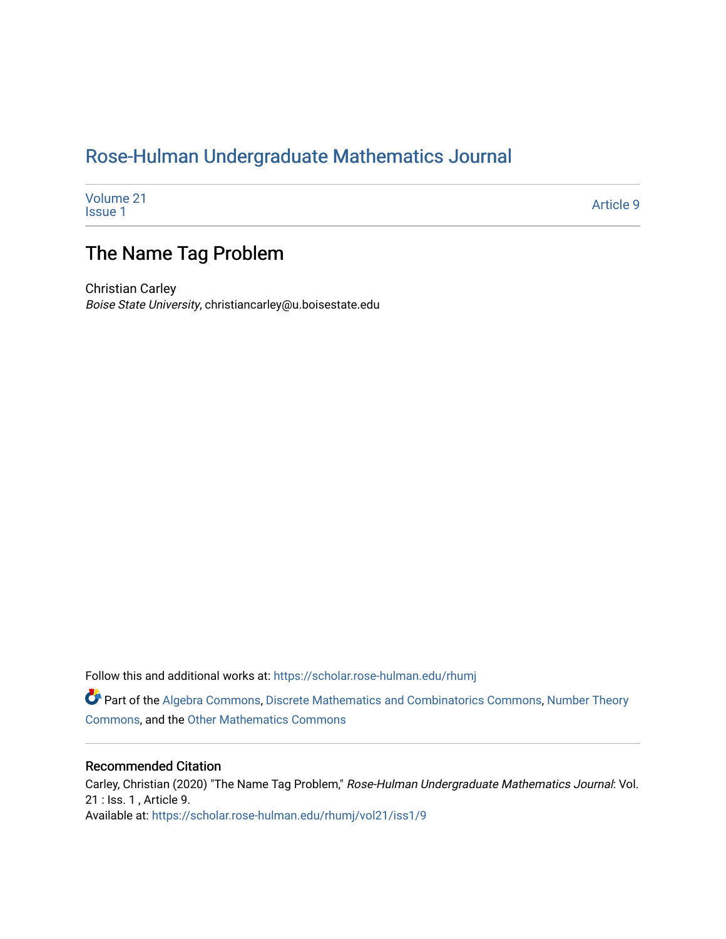# [Rose-Hulman Undergraduate Mathematics Journal](https://scholar.rose-hulman.edu/rhumj)

[Volume 21](https://scholar.rose-hulman.edu/rhumj/vol21)<br>Issue 1 volume 21 Article 9<br>[Issue 1](https://scholar.rose-hulman.edu/rhumj/vol21/iss1)

# The Name Tag Problem

Christian Carley Boise State University, christiancarley@u.boisestate.edu

Follow this and additional works at: [https://scholar.rose-hulman.edu/rhumj](https://scholar.rose-hulman.edu/rhumj?utm_source=scholar.rose-hulman.edu%2Frhumj%2Fvol21%2Fiss1%2F9&utm_medium=PDF&utm_campaign=PDFCoverPages)

Part of the [Algebra Commons,](http://network.bepress.com/hgg/discipline/175?utm_source=scholar.rose-hulman.edu%2Frhumj%2Fvol21%2Fiss1%2F9&utm_medium=PDF&utm_campaign=PDFCoverPages) [Discrete Mathematics and Combinatorics Commons](http://network.bepress.com/hgg/discipline/178?utm_source=scholar.rose-hulman.edu%2Frhumj%2Fvol21%2Fiss1%2F9&utm_medium=PDF&utm_campaign=PDFCoverPages), [Number Theory](http://network.bepress.com/hgg/discipline/183?utm_source=scholar.rose-hulman.edu%2Frhumj%2Fvol21%2Fiss1%2F9&utm_medium=PDF&utm_campaign=PDFCoverPages) [Commons](http://network.bepress.com/hgg/discipline/183?utm_source=scholar.rose-hulman.edu%2Frhumj%2Fvol21%2Fiss1%2F9&utm_medium=PDF&utm_campaign=PDFCoverPages), and the [Other Mathematics Commons](http://network.bepress.com/hgg/discipline/185?utm_source=scholar.rose-hulman.edu%2Frhumj%2Fvol21%2Fiss1%2F9&utm_medium=PDF&utm_campaign=PDFCoverPages)

#### Recommended Citation

Carley, Christian (2020) "The Name Tag Problem," Rose-Hulman Undergraduate Mathematics Journal: Vol. 21 : Iss. 1 , Article 9. Available at: [https://scholar.rose-hulman.edu/rhumj/vol21/iss1/9](https://scholar.rose-hulman.edu/rhumj/vol21/iss1/9?utm_source=scholar.rose-hulman.edu%2Frhumj%2Fvol21%2Fiss1%2F9&utm_medium=PDF&utm_campaign=PDFCoverPages)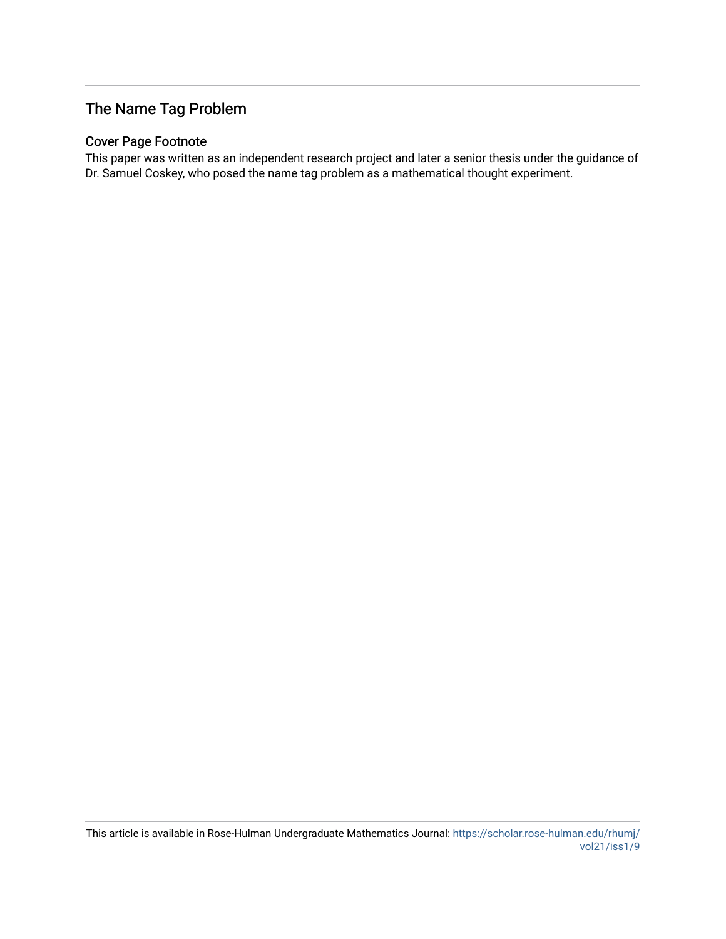# The Name Tag Problem

## Cover Page Footnote

This paper was written as an independent research project and later a senior thesis under the guidance of Dr. Samuel Coskey, who posed the name tag problem as a mathematical thought experiment.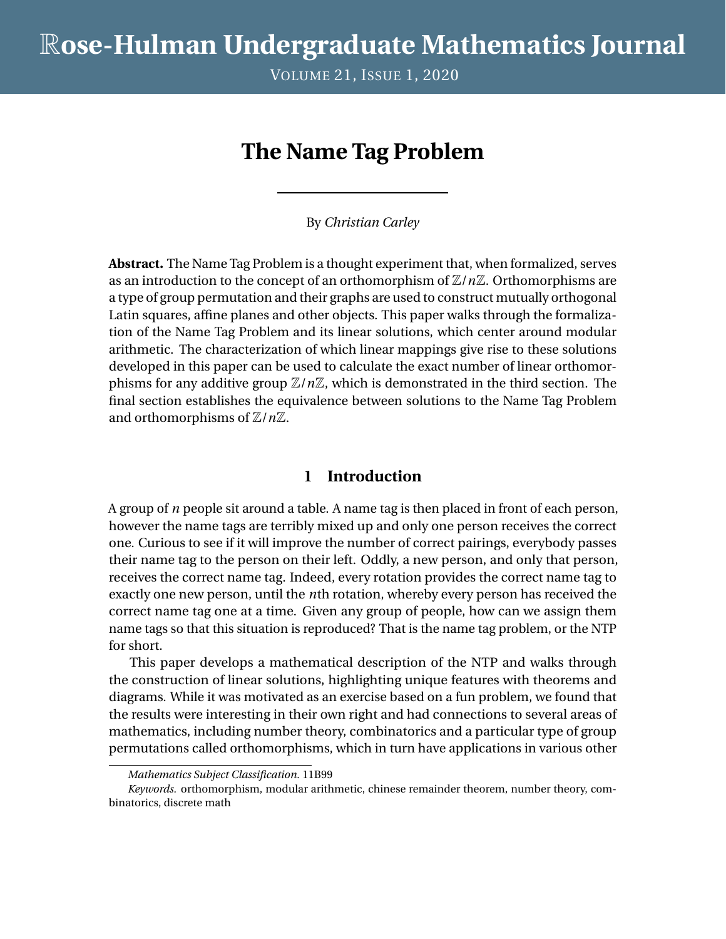VOLUME 21, ISSUE 1, 2020

# **The Name Tag Problem**

By *Christian Carley*

**Abstract.** The Name Tag Problem is a thought experiment that, when formalized, serves as an introduction to the concept of an orthomorphism of Z/*n*Z. Orthomorphisms are a type of group permutation and their graphs are used to construct mutually orthogonal Latin squares, affine planes and other objects. This paper walks through the formalization of the Name Tag Problem and its linear solutions, which center around modular arithmetic. The characterization of which linear mappings give rise to these solutions developed in this paper can be used to calculate the exact number of linear orthomorphisms for any additive group  $\mathbb{Z}/n\mathbb{Z}$ , which is demonstrated in the third section. The final section establishes the equivalence between solutions to the Name Tag Problem and orthomorphisms of  $\mathbb{Z}/n\mathbb{Z}$ .

## **1 Introduction**

A group of *n* people sit around a table. A name tag is then placed in front of each person, however the name tags are terribly mixed up and only one person receives the correct one. Curious to see if it will improve the number of correct pairings, everybody passes their name tag to the person on their left. Oddly, a new person, and only that person, receives the correct name tag. Indeed, every rotation provides the correct name tag to exactly one new person, until the *n*th rotation, whereby every person has received the correct name tag one at a time. Given any group of people, how can we assign them name tags so that this situation is reproduced? That is the name tag problem, or the NTP for short.

This paper develops a mathematical description of the NTP and walks through the construction of linear solutions, highlighting unique features with theorems and diagrams. While it was motivated as an exercise based on a fun problem, we found that the results were interesting in their own right and had connections to several areas of mathematics, including number theory, combinatorics and a particular type of group permutations called orthomorphisms, which in turn have applications in various other

*Mathematics Subject Classification.* 11B99

*Keywords.* orthomorphism, modular arithmetic, chinese remainder theorem, number theory, combinatorics, discrete math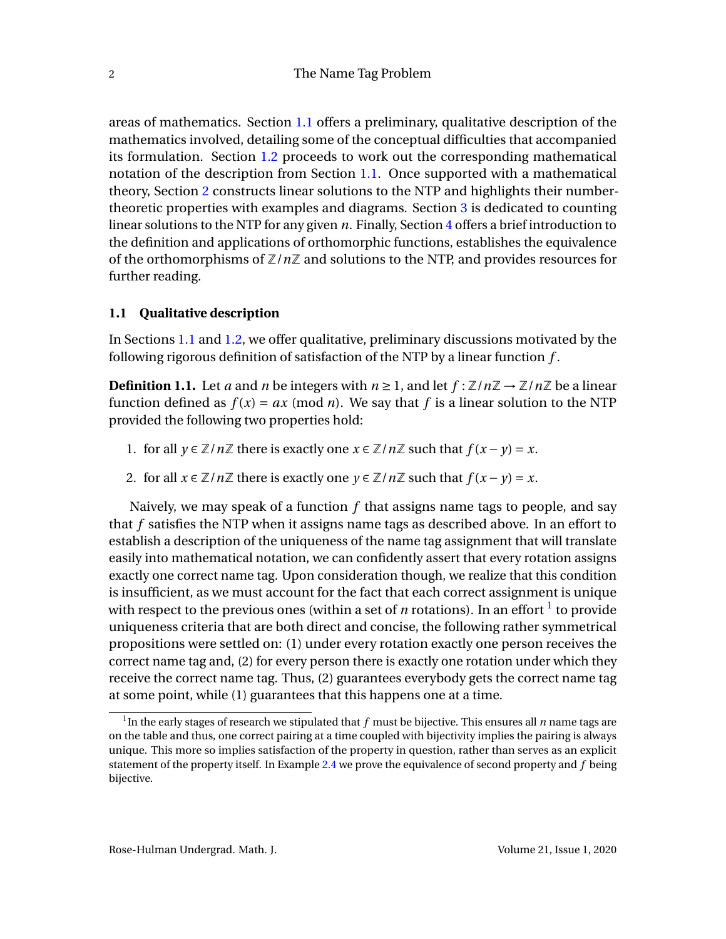areas of mathematics. Section [1.1](#page-3-0) offers a preliminary, qualitative description of the mathematics involved, detailing some of the conceptual difficulties that accompanied its formulation. Section [1.2](#page-3-1) proceeds to work out the corresponding mathematical notation of the description from Section [1.1.](#page-3-0) Once supported with a mathematical theory, Section [2](#page-4-0) constructs linear solutions to the NTP and highlights their numbertheoretic properties with examples and diagrams. Section [3](#page-9-0) is dedicated to counting linear solutions to the NTP for any given *n*. Finally, Section [4](#page-12-0) offers a brief introduction to the definition and applications of orthomorphic functions, establishes the equivalence of the orthomorphisms of Z/*n*Z and solutions to the NTP, and provides resources for further reading.

## <span id="page-3-0"></span>**1.1 Qualitative description**

In Sections [1.1](#page-3-0) and [1.2,](#page-3-1) we offer qualitative, preliminary discussions motivated by the following rigorous definition of satisfaction of the NTP by a linear function *f* .

<span id="page-3-3"></span>**Definition 1.1.** Let *a* and *n* be integers with  $n \ge 1$ , and let  $f : \mathbb{Z}/n\mathbb{Z} \to \mathbb{Z}/n\mathbb{Z}$  be a linear function defined as  $f(x) = ax \pmod{n}$ . We say that f is a linear solution to the NTP provided the following two properties hold:

- <span id="page-3-4"></span>1. for all  $y \in \mathbb{Z}/n\mathbb{Z}$  there is exactly one  $x \in \mathbb{Z}/n\mathbb{Z}$  such that  $f(x - y) = x$ .
- <span id="page-3-5"></span>2. for all  $x \in \mathbb{Z}/n\mathbb{Z}$  there is exactly one  $y \in \mathbb{Z}/n\mathbb{Z}$  such that  $f(x - y) = x$ .

Naively, we may speak of a function *f* that assigns name tags to people, and say that *f* satisfies the NTP when it assigns name tags as described above. In an effort to establish a description of the uniqueness of the name tag assignment that will translate easily into mathematical notation, we can confidently assert that every rotation assigns exactly one correct name tag. Upon consideration though, we realize that this condition is insufficient, as we must account for the fact that each correct assignment is unique with respect to the previous ones (within a set of  $n$  rotations). In an effort  $^{\rm l}$  to provide uniqueness criteria that are both direct and concise, the following rather symmetrical propositions were settled on: (1) under every rotation exactly one person receives the correct name tag and, (2) for every person there is exactly one rotation under which they receive the correct name tag. Thus, (2) guarantees everybody gets the correct name tag at some point, while (1) guarantees that this happens one at a time.

<span id="page-3-2"></span><span id="page-3-1"></span><sup>1</sup> In the early stages of research we stipulated that *f* must be bijective. This ensures all *n* name tags are on the table and thus, one correct pairing at a time coupled with bijectivity implies the pairing is always unique. This more so implies satisfaction of the property in question, rather than serves as an explicit statement of the property itself. In Example [2.4](#page-7-0) we prove the equivalence of second property and *f* being bijective.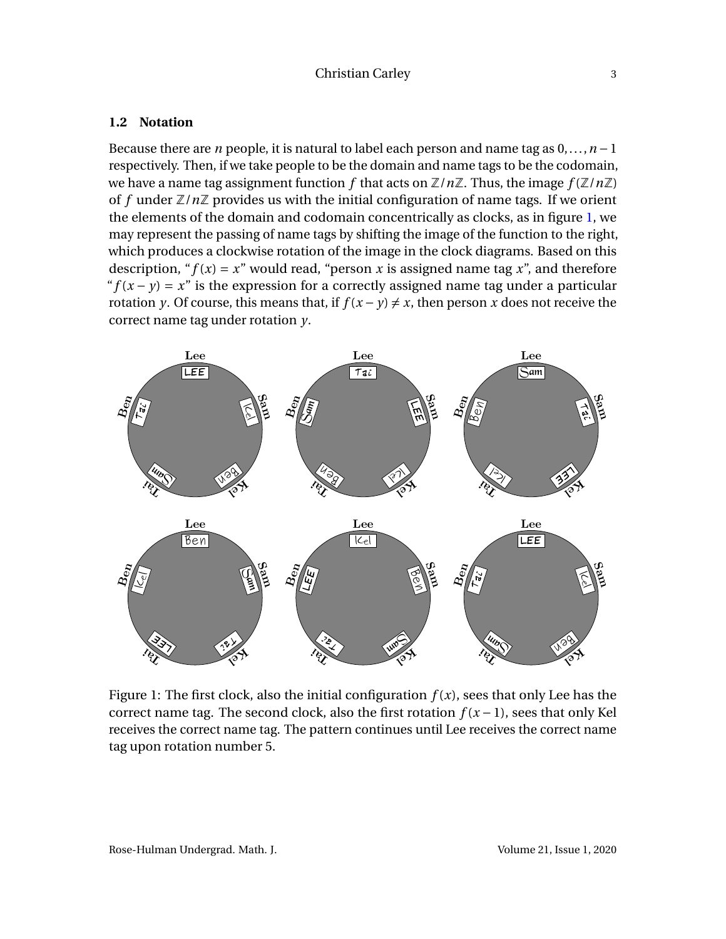#### **1.2 Notation**

Because there are *n* people, it is natural to label each person and name tag as 0,...,*n* −1 respectively. Then, if we take people to be the domain and name tags to be the codomain, we have a name tag assignment function f that acts on  $\mathbb{Z}/n\mathbb{Z}$ . Thus, the image  $f(\mathbb{Z}/n\mathbb{Z})$ of f under  $\mathbb{Z}/n\mathbb{Z}$  provides us with the initial configuration of name tags. If we orient the elements of the domain and codomain concentrically as clocks, as in figure [1,](#page-4-1) we may represent the passing of name tags by shifting the image of the function to the right, which produces a clockwise rotation of the image in the clock diagrams. Based on this description, " $f(x) = x$ " would read, "person *x* is assigned name tag *x*", and therefore " $f(x - y) = x$ " is the expression for a correctly assigned name tag under a particular rotation *y*. Of course, this means that, if  $f(x - y) \neq x$ , then person *x* does not receive the correct name tag under rotation *y*.

<span id="page-4-1"></span>

<span id="page-4-0"></span>Figure 1: The first clock, also the initial configuration  $f(x)$ , sees that only Lee has the correct name tag. The second clock, also the first rotation  $f(x-1)$ , sees that only Kel receives the correct name tag. The pattern continues until Lee receives the correct name tag upon rotation number 5.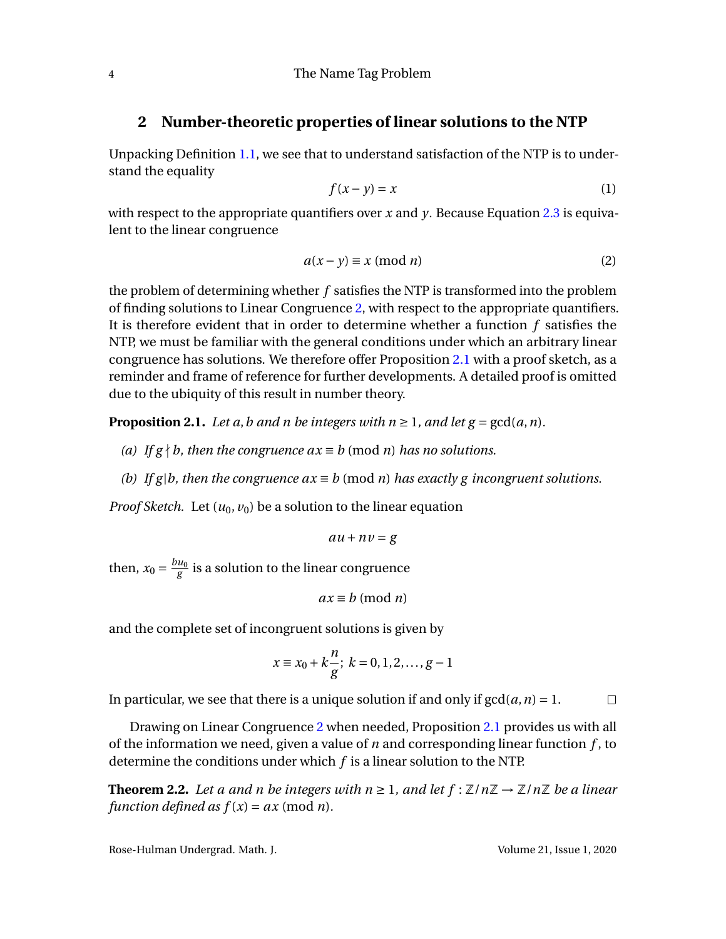## **2 Number-theoretic properties of linear solutions to the NTP**

Unpacking Definition [1.1,](#page-3-3) we see that to understand satisfaction of the NTP is to understand the equality

$$
f(x - y) = x \tag{1}
$$

with respect to the appropriate quantifiers over *x* and *y*. Because Equation [2.3](#page-6-0) is equivalent to the linear congruence

<span id="page-5-0"></span>
$$
a(x - y) \equiv x \pmod{n}
$$
 (2)

the problem of determining whether *f* satisfies the NTP is transformed into the problem of finding solutions to Linear Congruence [2,](#page-5-0) with respect to the appropriate quantifiers. It is therefore evident that in order to determine whether a function *f* satisfies the NTP, we must be familiar with the general conditions under which an arbitrary linear congruence has solutions. We therefore offer Proposition [2.1](#page-5-1) with a proof sketch, as a reminder and frame of reference for further developments. A detailed proof is omitted due to the ubiquity of this result in number theory.

<span id="page-5-1"></span>**Proposition 2.1.** *Let a, b and n be integers with*  $n \ge 1$ *, and let*  $g = \gcd(a, n)$ *.* 

- *(a) If*  $g \nmid b$ *, then the congruence*  $ax \equiv b \pmod{n}$  *has no solutions.*
- *(b)* If g|b, then the congruence  $ax \equiv b \pmod{n}$  has exactly g incongruent solutions.

*Proof Sketch.* Let  $(u_0, v_0)$  be a solution to the linear equation

$$
au + nv = g
$$

then,  $x_0 = \frac{bu_0}{g}$  $\frac{u_0}{g}$  is a solution to the linear congruence

$$
ax \equiv b \pmod{n}
$$

and the complete set of incongruent solutions is given by

$$
x \equiv x_0 + k \frac{n}{g}; \ k = 0, 1, 2, \dots, g - 1
$$

In particular, we see that there is a unique solution if and only if  $gcd(a, n) = 1$ .  $\Box$ 

Drawing on Linear Congruence [2](#page-5-0) when needed, Proposition [2.1](#page-5-1) provides us with all of the information we need, given a value of *n* and corresponding linear function *f* , to determine the conditions under which *f* is a linear solution to the NTP.

<span id="page-5-2"></span>**Theorem 2.2.** *Let a and n be integers with*  $n \geq 1$ *, and let*  $f : \mathbb{Z}/n\mathbb{Z} \to \mathbb{Z}/n\mathbb{Z}$  *be a linear function defined as*  $f(x) = ax \pmod{n}$ *.* 

Rose-Hulman Undergrad. Math. J. Volume 21, Issue 1, 2020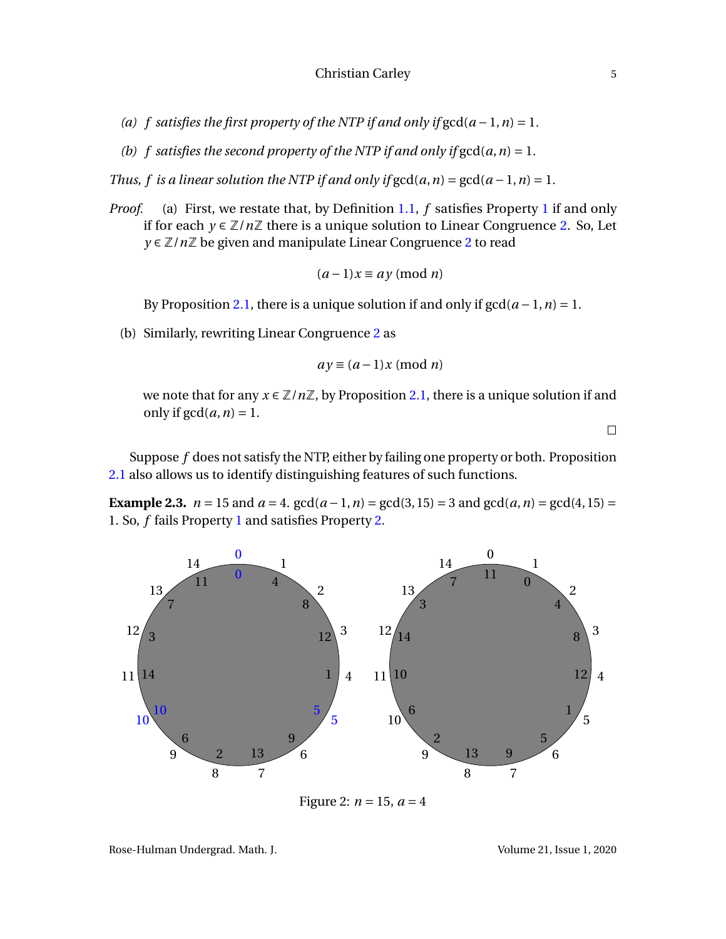- *(a)*  $f$  satisfies the first property of the NTP if and only if  $gcd(a-1, n) = 1$ .
- *(b)*  $f$  satisfies the second property of the NTP if and only if  $gcd(a, n) = 1$ .

*Thus, f is a linear solution the NTP if and only if*  $gcd(a, n) = gcd(a - 1, n) = 1$ .

*Proof.* (a) First, we restate that, by Definition [1.1,](#page-3-3) *f* satisfies Property [1](#page-3-4) if and only if for each *y* ∈  $\mathbb{Z}/n\mathbb{Z}$  there is a unique solution to Linear Congruence [2.](#page-5-0) So, Let *y* ∈ Z/*n*Z be given and manipulate Linear Congruence [2](#page-5-0) to read

$$
(a-1)x \equiv ay \pmod{n}
$$

By Proposition [2.1,](#page-5-1) there is a unique solution if and only if  $gcd(a-1, n) = 1$ .

(b) Similarly, rewriting Linear Congruence [2](#page-5-0) as

$$
ay \equiv (a-1)x \pmod{n}
$$

we note that for any  $x \in \mathbb{Z}/n\mathbb{Z}$ , by Proposition [2.1,](#page-5-1) there is a unique solution if and only if  $gcd(a, n) = 1$ .

 $\Box$ 

Suppose *f* does not satisfy the NTP, either by failing one property or both. Proposition [2.1](#page-5-1) also allows us to identify distinguishing features of such functions.

<span id="page-6-0"></span>**Example 2.3.**  $n = 15$  and  $a = 4$ .  $gcd(a - 1, n) = gcd(3, 15) = 3$  and  $gcd(a, n) = gcd(4, 15) =$ 1. So, *f* fails Property [1](#page-3-4) and satisfies Property [2.](#page-3-5)

<span id="page-6-1"></span>

Figure 2:  $n = 15$ ,  $a = 4$ 

Rose-Hulman Undergrad. Math. J. Volume 21, Issue 1, 2020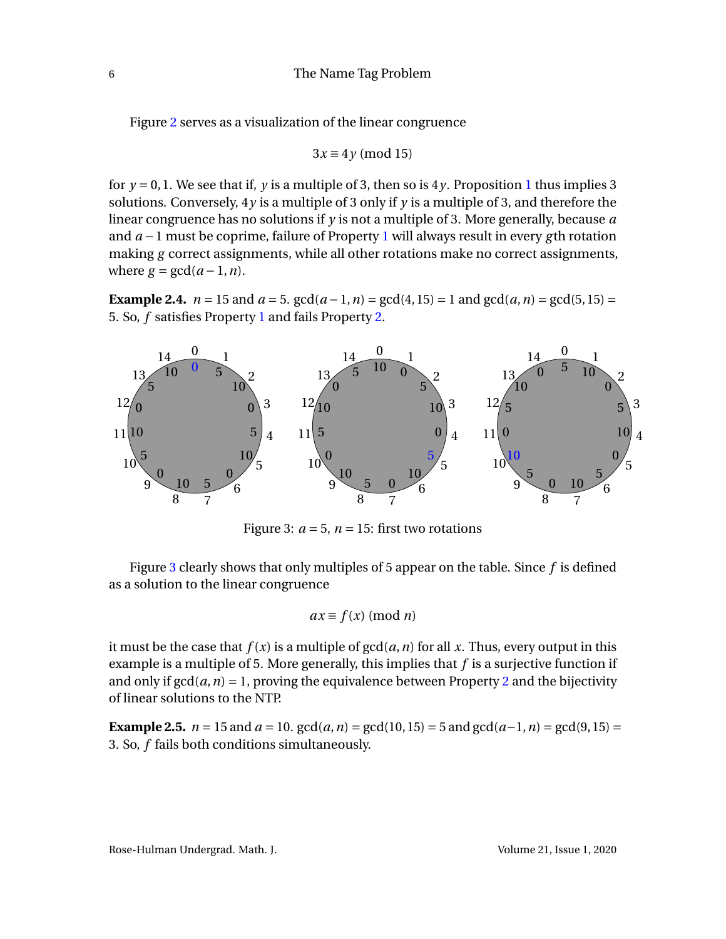Figure [2](#page-6-1) serves as a visualization of the linear congruence

$$
3x \equiv 4y \pmod{15}
$$

for  $y = 0, 1$  $y = 0, 1$ . We see that if, y is a multiple of 3, then so is  $4y$ . Proposition 1 thus implies 3 solutions. Conversely, 4*y* is a multiple of 3 only if *y* is a multiple of 3, and therefore the linear congruence has no solutions if *y* is not a multiple of 3. More generally, because *a* and *a* −1 must be coprime, failure of Property [1](#page-3-4) will always result in every *g* th rotation making *g* correct assignments, while all other rotations make no correct assignments, where  $g = \gcd(a-1, n)$ .

<span id="page-7-0"></span>**Example 2.4.**  $n = 15$  and  $a = 5$ .  $gcd(a - 1, n) = gcd(4, 15) = 1$  and  $gcd(a, n) = gcd(5, 15) = 1$ 5. So, *f* satisfies Property [1](#page-3-4) and fails Property [2.](#page-3-5)

<span id="page-7-1"></span>

Figure 3:  $a = 5$ ,  $n = 15$ : first two rotations

Figure [3](#page-7-1) clearly shows that only multiples of 5 appear on the table. Since *f* is defined as a solution to the linear congruence

$$
ax \equiv f(x) \pmod{n}
$$

it must be the case that  $f(x)$  is a multiple of  $gcd(a, n)$  for all x. Thus, every output in this example is a multiple of 5. More generally, this implies that *f* is a surjective function if and only if  $gcd(a, n) = 1$ , proving the equivalence between Property [2](#page-3-5) and the bijectivity of linear solutions to the NTP.

**Example 2.5.**  $n = 15$  and  $a = 10$ .  $gcd(a, n) = gcd(10, 15) = 5$  and  $gcd(a-1, n) = gcd(9, 15) =$ 3. So, *f* fails both conditions simultaneously.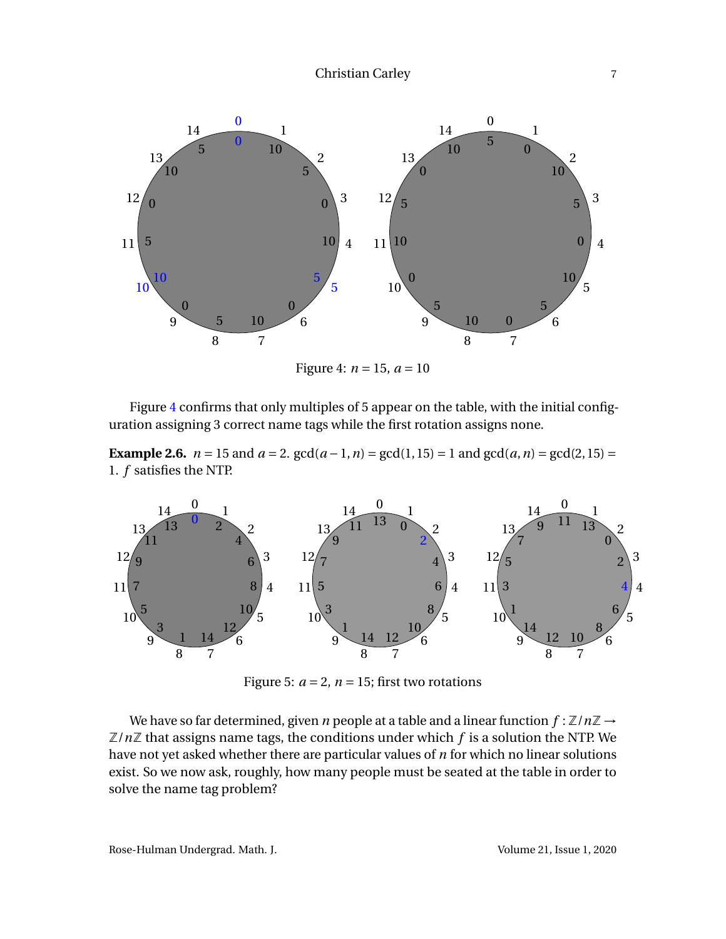<span id="page-8-0"></span>

Figure 4:  $n = 15$ ,  $a = 10$ 

Figure [4](#page-8-0) confirms that only multiples of 5 appear on the table, with the initial configuration assigning 3 correct name tags while the first rotation assigns none.

**Example 2.6.**  $n = 15$  and  $a = 2$ .  $gcd(a - 1, n) = gcd(1, 15) = 1$  and  $gcd(a, n) = gcd(2, 15) = 1$ 1. *f* satisfies the NTP.



Figure 5:  $a = 2$ ,  $n = 15$ ; first two rotations

We have so far determined, given *n* people at a table and a linear function  $f : \mathbb{Z}/n\mathbb{Z} \rightarrow$  $\mathbb{Z}/n\mathbb{Z}$  that assigns name tags, the conditions under which  $f$  is a solution the NTP. We have not yet asked whether there are particular values of *n* for which no linear solutions exist. So we now ask, roughly, how many people must be seated at the table in order to solve the name tag problem?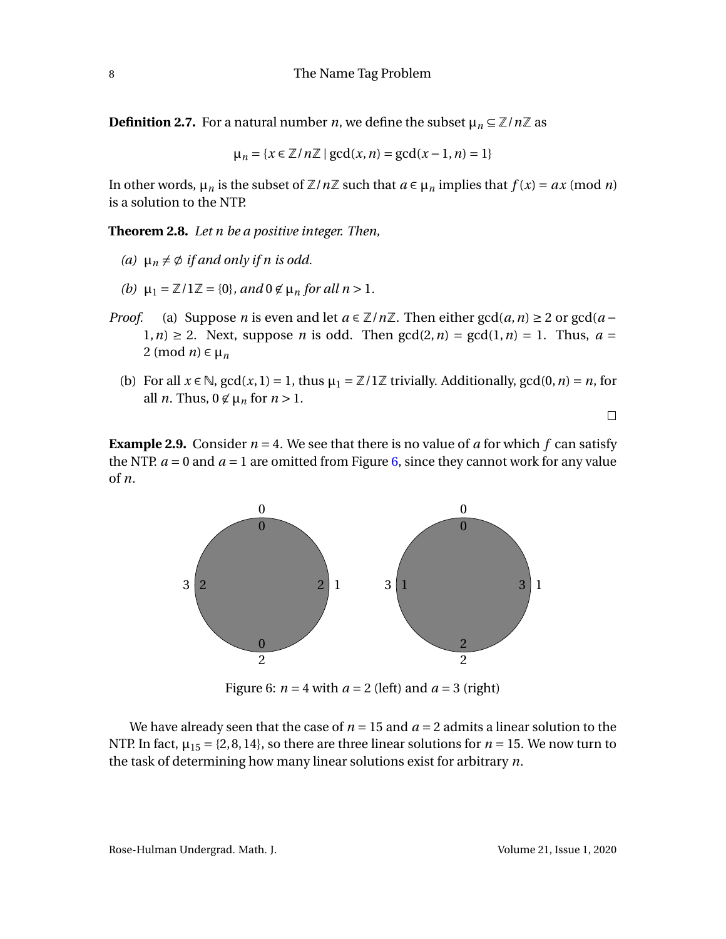**Definition 2.7.** For a natural number *n*, we define the subset  $\mu_n \subseteq \mathbb{Z}/n\mathbb{Z}$  as

$$
\mu_n = \{x \in \mathbb{Z}/n\mathbb{Z} \mid \gcd(x, n) = \gcd(x - 1, n) = 1\}
$$

In other words,  $\mu_n$  is the subset of  $\mathbb{Z}/n\mathbb{Z}$  such that  $a \in \mu_n$  implies that  $f(x) = ax \pmod{n}$ is a solution to the NTP.

<span id="page-9-2"></span>**Theorem 2.8.** *Let n be a positive integer. Then,*

- (a)  $\mu_n \neq \emptyset$  *if and only if n is odd.*
- *(b)*  $\mu_1 = \mathbb{Z}/1\mathbb{Z} = \{0\}$ *, and*  $0 \notin \mu_n$  *for all n* > 1*.*
- *Proof.* (a) Suppose *n* is even and let  $a \in \mathbb{Z}/n\mathbb{Z}$ . Then either  $gcd(a, n) \geq 2$  or  $gcd(a n)$  $1, n$ )  $\geq$  2. Next, suppose *n* is odd. Then  $gcd(2, n) = gcd(1, n) = 1$ . Thus,  $a =$ 2 (mod  $n \in \mu$ <sup>n</sup>
	- (b) For all  $x \in \mathbb{N}$ ,  $gcd(x, 1) = 1$ , thus  $\mu_1 = \mathbb{Z}/1\mathbb{Z}$  trivially. Additionally,  $gcd(0, n) = n$ , for all *n*. Thus,  $0 \notin \mu_n$  for  $n > 1$ .

 $\Box$ 

<span id="page-9-1"></span>**Example 2.9.** Consider  $n = 4$ . We see that there is no value of *a* for which  $f$  can satisfy the NTP.  $a = 0$  and  $a = 1$  are omitted from Figure [6,](#page-9-1) since they cannot work for any value of *n*.



Figure 6:  $n = 4$  with  $a = 2$  (left) and  $a = 3$  (right)

<span id="page-9-0"></span>We have already seen that the case of  $n = 15$  and  $a = 2$  admits a linear solution to the NTP. In fact,  $\mu_{15} = \{2, 8, 14\}$ , so there are three linear solutions for  $n = 15$ . We now turn to the task of determining how many linear solutions exist for arbitrary *n*.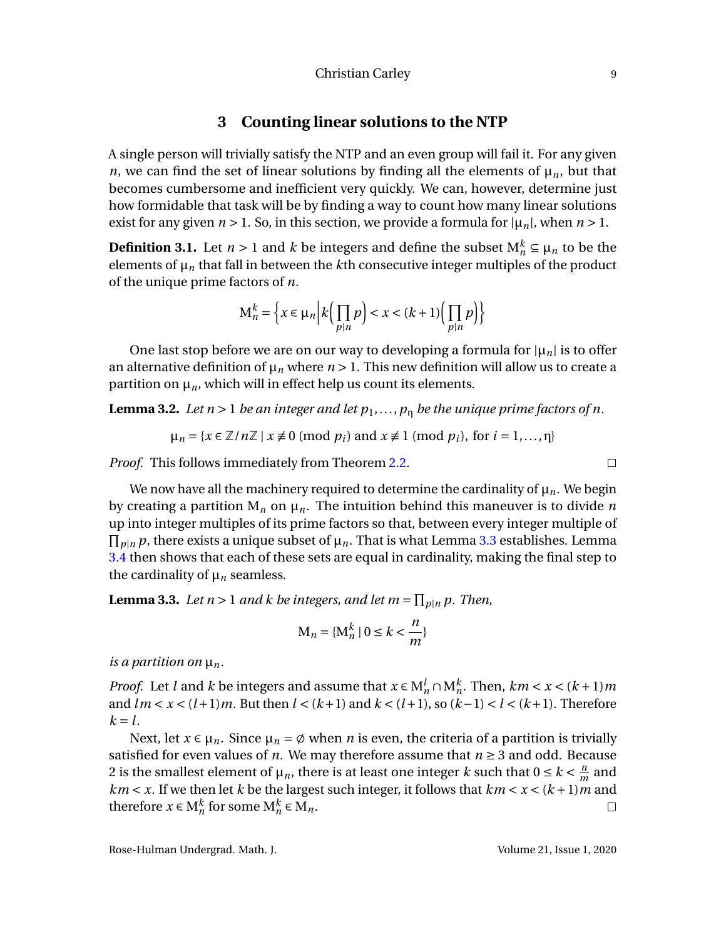## **3 Counting linear solutions to the NTP**

A single person will trivially satisfy the NTP and an even group will fail it. For any given *n*, we can find the set of linear solutions by finding all the elements of  $\mu_n$ , but that becomes cumbersome and inefficient very quickly. We can, however, determine just how formidable that task will be by finding a way to count how many linear solutions exist for any given  $n > 1$ . So, in this section, we provide a formula for  $|\mu_n|$ , when  $n > 1$ .

**Definition 3.1.** Let  $n > 1$  and  $k$  be integers and define the subset  $M_n^k \subseteq \mu_n$  to be the elements of  $\mu_n$  that fall in between the *k*th consecutive integer multiples of the product of the unique prime factors of *n*.

$$
\mathbf{M}_n^k = \left\{ x \in \mu_n \, \middle| \, k \left( \prod_{p|n} p \right) < x < (k+1) \left( \prod_{p|n} p \right) \right\}
$$

One last stop before we are on our way to developing a formula for  $|\mu_n|$  is to offer an alternative definition of  $\mu_n$  where  $n > 1$ . This new definition will allow us to create a partition on  $\mu_n$ , which will in effect help us count its elements.

**Lemma 3.2.** *Let n* > 1 *be an integer and let*  $p_1, ..., p_n$  *be the unique prime factors of n.* 

 $\mu_n = \{x \in \mathbb{Z}/n\mathbb{Z} \mid x \neq 0 \pmod{p_i} \text{ and } x \neq 1 \pmod{p_i}, \text{ for } i = 1, \ldots, n\}$ 

*Proof.* This follows immediately from Theorem [2.2.](#page-5-2)

We now have all the machinery required to determine the cardinality of  $\mu_n$ . We begin by creating a partition  $M_n$  on  $\mu_n$ . The intuition behind this maneuver is to divide *n* up into integer multiples of its prime factors so that, between every integer multiple of  $\prod_{p|n} p$ , there exists a unique subset of  $\mu_n$ . That is what Lemma [3.3](#page-10-0) establishes. Lemma [3.4](#page-10-1) then shows that each of these sets are equal in cardinality, making the final step to the cardinality of  $\mu_n$  seamless.

<span id="page-10-0"></span>**Lemma 3.3.** Let  $n > 1$  and  $k$  be integers, and let  $m = \prod_{p|n} p$ . Then,

$$
\mathbf{M}_n = \{ \mathbf{M}_n^k \mid 0 \le k < \frac{n}{m} \}
$$

*is a partition on*  $\mu_n$ *.* 

*Proof.* Let *l* and *k* be integers and assume that  $x \in M_n^l \cap M_n^k$ . Then,  $km < x < (k+1)m$ and  $lm < x < (l+1)m$ . But then  $l < (k+1)$  and  $k < (l+1)$ , so  $(k-1) < l < (k+1)$ . Therefore  $k = l$ .

<span id="page-10-1"></span>Next, let  $x \in \mu_n$ . Since  $\mu_n = \emptyset$  when *n* is even, the criteria of a partition is trivially satisfied for even values of *n*. We may therefore assume that  $n \geq 3$  and odd. Because 2 is the smallest element of  $\mu_n$ , there is at least one integer *k* such that  $0 \le k < \frac{n}{m}$  $\frac{n}{m}$  and  $km < x$ . If we then let *k* be the largest such integer, it follows that  $km < x < (k+1)m$  and therefore  $x \in M_n^k$  for some  $M_n^k \in M_n$ .  $\Box$ 

 $\Box$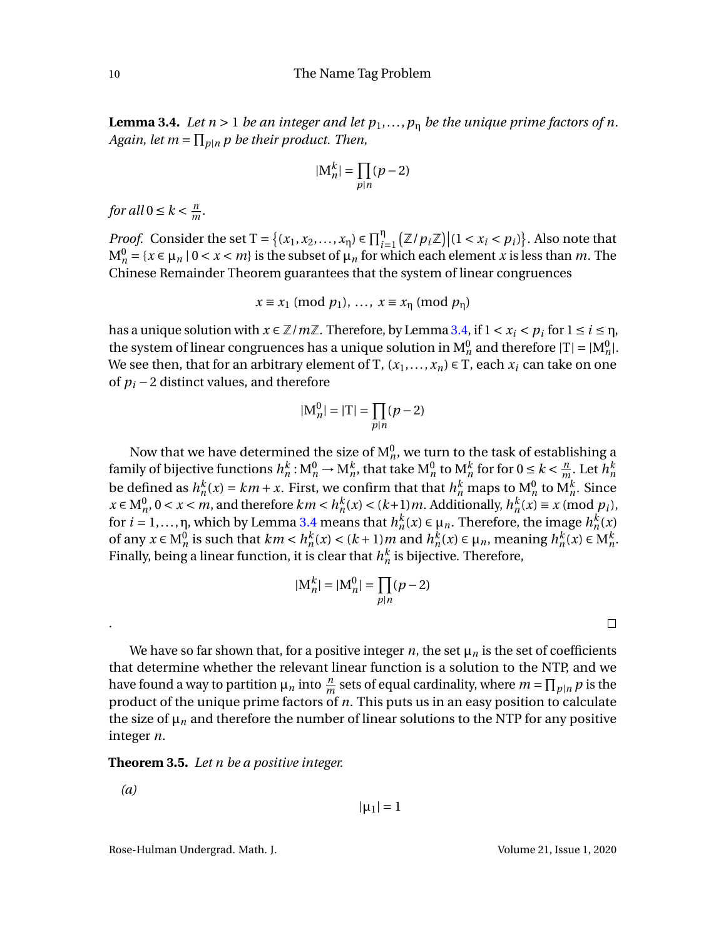**Lemma 3.4.** *Let*  $n > 1$  *be an integer and let*  $p_1, \ldots, p_n$  *be the unique prime factors of n.*  $Again, let m = \prod_{p|n} p$  *be their product. Then,* 

$$
|\mathcal{M}_n^k| = \prod_{p|n} (p-2)
$$

*for all*  $0 \leq k < \frac{m}{m}$  $\frac{n}{m}$ .

*Proof.* Consider the set  $T = \{(x_1, x_2, ..., x_n) \in \prod_{i=1}^n (\mathbb{Z}/p_i\mathbb{Z}) | (1 < x_i < p_i) \}$ . Also note that  $M_n^0 = \{x \in \mu_n \mid 0 < x < m\}$  is the subset of  $\mu_n$  for which each element *x* is less than *m*. The Chinese Remainder Theorem guarantees that the system of linear congruences

$$
x \equiv x_1 \pmod{p_1}, \ldots, x \equiv x_\eta \pmod{p_\eta}
$$

has a unique solution with  $x \in \mathbb{Z}/m\mathbb{Z}$ . Therefore, by Lemma [3.4,](#page-10-1) if  $1 < x_i < p_i$  for  $1 \le i \le n$ , the system of linear congruences has a unique solution in  $M_n^0$  and therefore  $|T| = |M_n^0|$ . We see then, that for an arbitrary element of T,  $(x_1,...,x_n) \in T$ , each  $x_i$  can take on one of *p<sup>i</sup>* −2 distinct values, and therefore

$$
|\mathbf{M}_n^0| = |\mathbf{T}| = \prod_{p|n} (p-2)
$$

Now that we have determined the size of  $\mathrm{M}^0_n$ , we turn to the task of establishing a family of bijective functions  $h_n^k$  :  $\mathrm{M}_n^0 \to \mathrm{M}_n^k$ , that take  $\mathrm{M}_n^0$  to  $\mathrm{M}_n^k$  for for  $0 \leq k < \frac{n}{m}$  $\frac{n}{m}$ . Let  $h_n^k$ be defined as  $h_n^k(x) = km + x$ . First, we confirm that that  $h_n^k$  maps to  $M_n^0$  to  $M_n^k$ . Since  $x \in M_n^0$ ,  $0 < x < m$ , and therefore  $km < h_n^k(x) < (k+1)m$ . Additionally,  $h_n^k(x) \equiv x \pmod{p_i}$ , for  $i = 1, \ldots, n$ , which by Lemma [3.4](#page-10-1) means that  $h_n^k(x) \in \mu_n$ . Therefore, the image  $h_n^k(x)$ of any  $x \in M_n^0$  is such that  $km < h_n^k(x) < (k+1)m$  and  $h_n^k(x) \in \mu_n$ , meaning  $h_n^k(x) \in M_n^k$ . Finally, being a linear function, it is clear that  $h_n^k$  is bijective. Therefore,

$$
|\mathbf{M}_n^k| = |\mathbf{M}_n^0| = \prod_{p|n} (p-2)
$$

 $\Box$ 

We have so far shown that, for a positive integer  $n$ , the set  $\mu_n$  is the set of coefficients that determine whether the relevant linear function is a solution to the NTP, and we have found a way to partition  $\mu_n$  into  $\frac{n}{m}$  sets of equal cardinality, where  $m = \prod_{p|n} p$  is the product of the unique prime factors of *n*. This puts us in an easy position to calculate the size of  $\mu_n$  and therefore the number of linear solutions to the NTP for any positive integer *n*.

#### **Theorem 3.5.** *Let n be a positive integer.*

*(a)*

.

$$
\vert \mu_1 \vert = 1
$$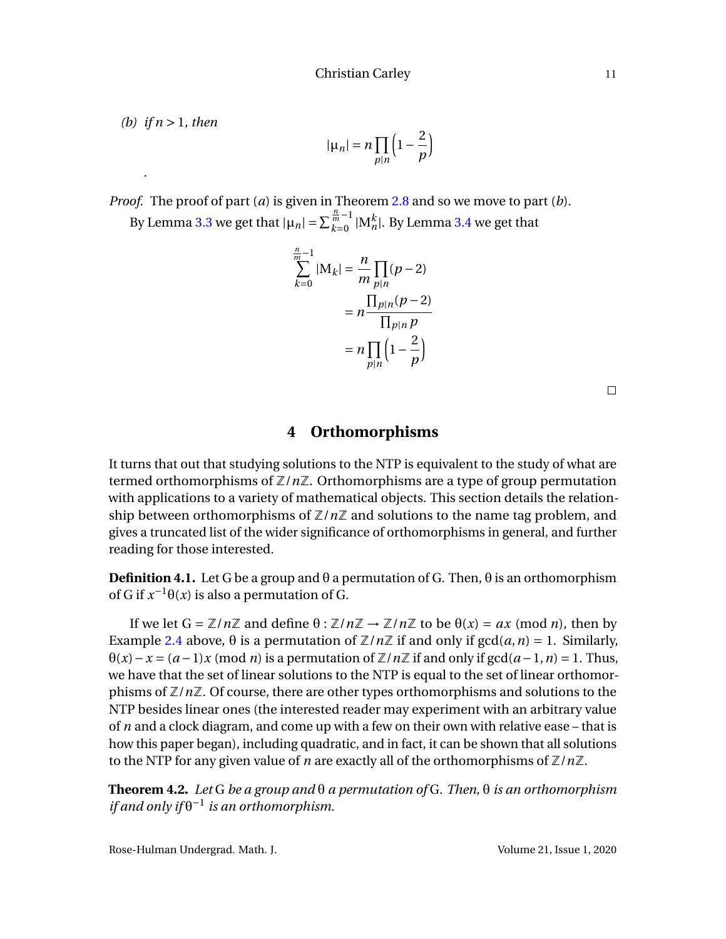*(b) if n* > 1*, then*

*.*

$$
|\mu_n| = n \prod_{p|n} \left(1 - \frac{2}{p}\right)
$$

*Proof.* The proof of part (*a*) is given in Theorem [2.8](#page-9-2) and so we move to part (*b*). By Lemma [3.3](#page-10-0) we get that  $|\mu_n| = \sum_{k=0}^{\frac{n}{m}-1}$  $\frac{m}{k-0}$  |M $_{n}^{k}$ |. By Lemma [3.4](#page-10-1) we get that

$$
\sum_{k=0}^{n} |M_k| = \frac{n}{m} \prod_{p|n} (p-2)
$$

$$
= n \frac{\prod_{p|n} (p-2)}{\prod_{p|n} p}
$$

$$
= n \prod_{p|n} \left(1 - \frac{2}{p}\right)
$$

 $\Box$ 

### **4 Orthomorphisms**

<span id="page-12-0"></span>It turns that out that studying solutions to the NTP is equivalent to the study of what are termed orthomorphisms of  $\mathbb{Z}/n\mathbb{Z}$ . Orthomorphisms are a type of group permutation with applications to a variety of mathematical objects. This section details the relationship between orthomorphisms of  $\mathbb{Z}/n\mathbb{Z}$  and solutions to the name tag problem, and gives a truncated list of the wider significance of orthomorphisms in general, and further reading for those interested.

**Definition 4.1.** Let G be a group and  $\theta$  a permutation of G. Then,  $\theta$  is an orthomorphism of G if  $x^{-1}\theta(x)$  is also a permutation of G.

If we let  $G = \mathbb{Z}/n\mathbb{Z}$  and define  $\theta : \mathbb{Z}/n\mathbb{Z} \to \mathbb{Z}/n\mathbb{Z}$  to be  $\theta(x) = ax \pmod{n}$ , then by Example [2.4](#page-7-0) above,  $\theta$  is a permutation of  $\mathbb{Z}/n\mathbb{Z}$  if and only if  $gcd(a, n) = 1$ . Similarly,  $\theta(x) - x = (a-1)x \pmod{n}$  is a permutation of  $\mathbb{Z}/n\mathbb{Z}$  if and only if  $gcd(a-1, n) = 1$ . Thus, we have that the set of linear solutions to the NTP is equal to the set of linear orthomorphisms of Z/*n*Z. Of course, there are other types orthomorphisms and solutions to the NTP besides linear ones (the interested reader may experiment with an arbitrary value of *n* and a clock diagram, and come up with a few on their own with relative ease – that is how this paper began), including quadratic, and in fact, it can be shown that all solutions to the NTP for any given value of *n* are exactly all of the orthomorphisms of  $\mathbb{Z}/n\mathbb{Z}$ .

<span id="page-12-1"></span>**Theorem 4.2.** *Let* G *be a group and* θ *a permutation of* G*. Then,* θ *is an orthomorphism if and only if* θ −1 *is an orthomorphism.*

Rose-Hulman Undergrad. Math. J. Volume 21, Issue 1, 2020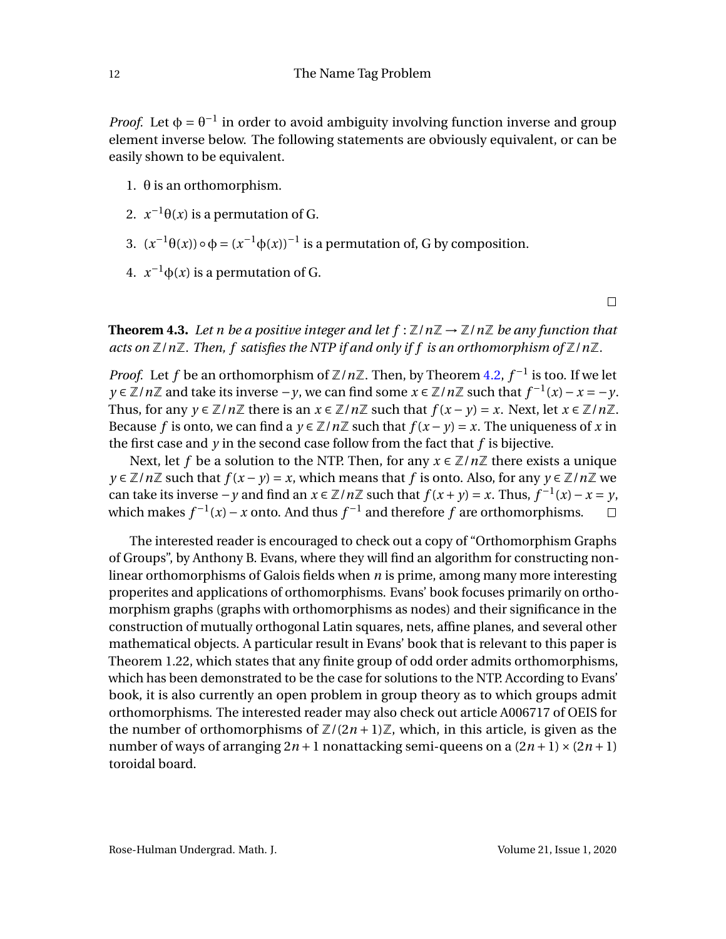*Proof.* Let  $\phi = \theta^{-1}$  in order to avoid ambiguity involving function inverse and group element inverse below. The following statements are obviously equivalent, or can be easily shown to be equivalent.

- 1. θ is an orthomorphism.
- 2.  $x^{-1}\theta(x)$  is a permutation of G.
- 3.  $(x^{-1}θ(x)) ∘ φ = (x^{-1}φ(x))^{-1}$  is a permutation of, G by composition.
- 4.  $x^{-1}φ(x)$  is a permutation of G.

 $\Box$ 

**Theorem 4.3.** Let *n* be a positive integer and let  $f : \mathbb{Z}/n\mathbb{Z} \to \mathbb{Z}/n\mathbb{Z}$  be any function that *acts on* Z/*n*Z*. Then, f satisfies the NTP if and only if f is an orthomorphism of* Z/*n*Z*.*

*Proof.* Let *f* be an orthomorphism of  $\mathbb{Z}/n\mathbb{Z}$ . Then, by Theorem [4.2,](#page-12-1)  $f^{-1}$  is too. If we let *y* ∈  $\mathbb{Z}/n\mathbb{Z}$  and take its inverse −*y*, we can find some  $x \in \mathbb{Z}/n\mathbb{Z}$  such that  $f^{-1}(x) - x = -y$ . Thus, for any  $y \in \mathbb{Z}/n\mathbb{Z}$  there is an  $x \in \mathbb{Z}/n\mathbb{Z}$  such that  $f(x - y) = x$ . Next, let  $x \in \mathbb{Z}/n\mathbb{Z}$ . Because *f* is onto, we can find a  $y \in \mathbb{Z}/n\mathbb{Z}$  such that  $f(x - y) = x$ . The uniqueness of *x* in the first case and *y* in the second case follow from the fact that *f* is bijective.

Next, let *f* be a solution to the NTP. Then, for any  $x \in \mathbb{Z}/n\mathbb{Z}$  there exists a unique *y* ∈  $\mathbb{Z}/n\mathbb{Z}$  such that  $f(x - y) = x$ , which means that *f* is onto. Also, for any  $y \in \mathbb{Z}/n\mathbb{Z}$  we can take its inverse  $-y$  and find an  $x \in \mathbb{Z}/n\mathbb{Z}$  such that  $f(x+y) = x$ . Thus,  $f^{-1}(x) - x = y$ , which makes  $f^{-1}(x) - x$  onto. And thus  $f^{-1}$  and therefore  $f$  are orthomorphisms.  $\Box$ 

The interested reader is encouraged to check out a copy of "Orthomorphism Graphs of Groups", by Anthony B. Evans, where they will find an algorithm for constructing nonlinear orthomorphisms of Galois fields when *n* is prime, among many more interesting properites and applications of orthomorphisms. Evans' book focuses primarily on orthomorphism graphs (graphs with orthomorphisms as nodes) and their significance in the construction of mutually orthogonal Latin squares, nets, affine planes, and several other mathematical objects. A particular result in Evans' book that is relevant to this paper is Theorem 1.22, which states that any finite group of odd order admits orthomorphisms, which has been demonstrated to be the case for solutions to the NTP. According to Evans' book, it is also currently an open problem in group theory as to which groups admit orthomorphisms. The interested reader may also check out article A006717 of OEIS for the number of orthomorphisms of  $\mathbb{Z}/(2n+1)\mathbb{Z}$ , which, in this article, is given as the number of ways of arranging  $2n + 1$  nonattacking semi-queens on a  $(2n + 1) \times (2n + 1)$ toroidal board.